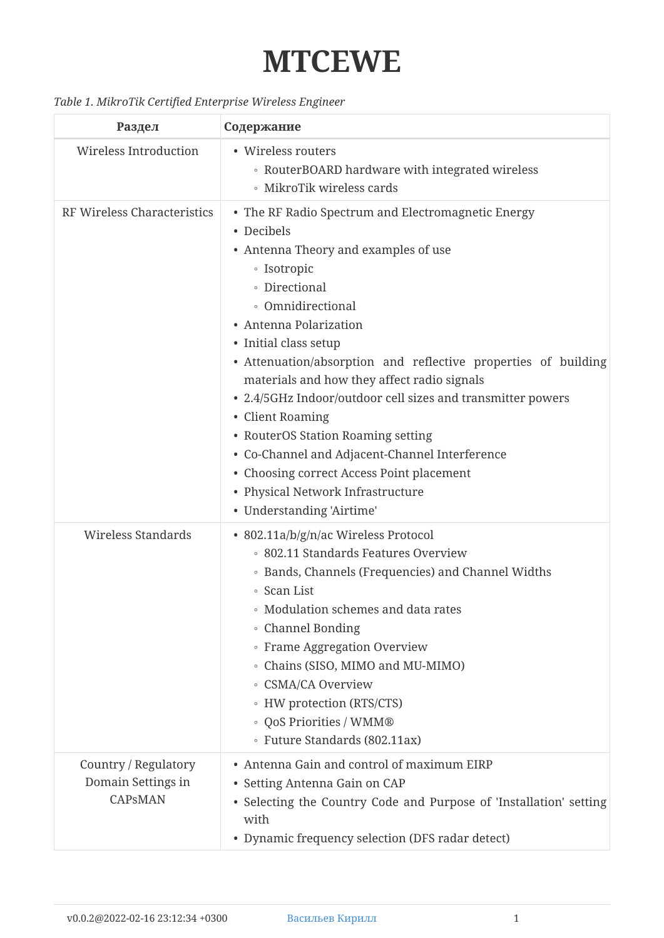## **MTCEWE**

## *Table 1. MikroTik Certified Enterprise Wireless Engineer*

| Раздел                                                       | Содержание                                                                                                                                                                                                                                                                                                                                                                                                                                                                                                                                                                                                                         |
|--------------------------------------------------------------|------------------------------------------------------------------------------------------------------------------------------------------------------------------------------------------------------------------------------------------------------------------------------------------------------------------------------------------------------------------------------------------------------------------------------------------------------------------------------------------------------------------------------------------------------------------------------------------------------------------------------------|
| <b>Wireless Introduction</b>                                 | • Wireless routers<br>• RouterBOARD hardware with integrated wireless<br>• MikroTik wireless cards                                                                                                                                                                                                                                                                                                                                                                                                                                                                                                                                 |
| RF Wireless Characteristics                                  | • The RF Radio Spectrum and Electromagnetic Energy<br>• Decibels<br>• Antenna Theory and examples of use<br><b>·</b> Isotropic<br>• Directional<br>• Omnidirectional<br>• Antenna Polarization<br>• Initial class setup<br>• Attenuation/absorption and reflective properties of building<br>materials and how they affect radio signals<br>• 2.4/5GHz Indoor/outdoor cell sizes and transmitter powers<br>• Client Roaming<br>• RouterOS Station Roaming setting<br>• Co-Channel and Adjacent-Channel Interference<br>• Choosing correct Access Point placement<br>• Physical Network Infrastructure<br>• Understanding 'Airtime' |
| <b>Wireless Standards</b>                                    | • 802.11a/b/g/n/ac Wireless Protocol<br>• 802.11 Standards Features Overview<br>• Bands, Channels (Frequencies) and Channel Widths<br>• Scan List<br>• Modulation schemes and data rates<br>• Channel Bonding<br>• Frame Aggregation Overview<br>• Chains (SISO, MIMO and MU-MIMO)<br><b>CSMA/CA Overview</b><br>• HW protection (RTS/CTS)<br>· QoS Priorities / WMM®<br>· Future Standards (802.11ax)                                                                                                                                                                                                                             |
| Country / Regulatory<br>Domain Settings in<br><b>CAPSMAN</b> | • Antenna Gain and control of maximum EIRP<br>• Setting Antenna Gain on CAP<br>• Selecting the Country Code and Purpose of 'Installation' setting<br>with<br>• Dynamic frequency selection (DFS radar detect)                                                                                                                                                                                                                                                                                                                                                                                                                      |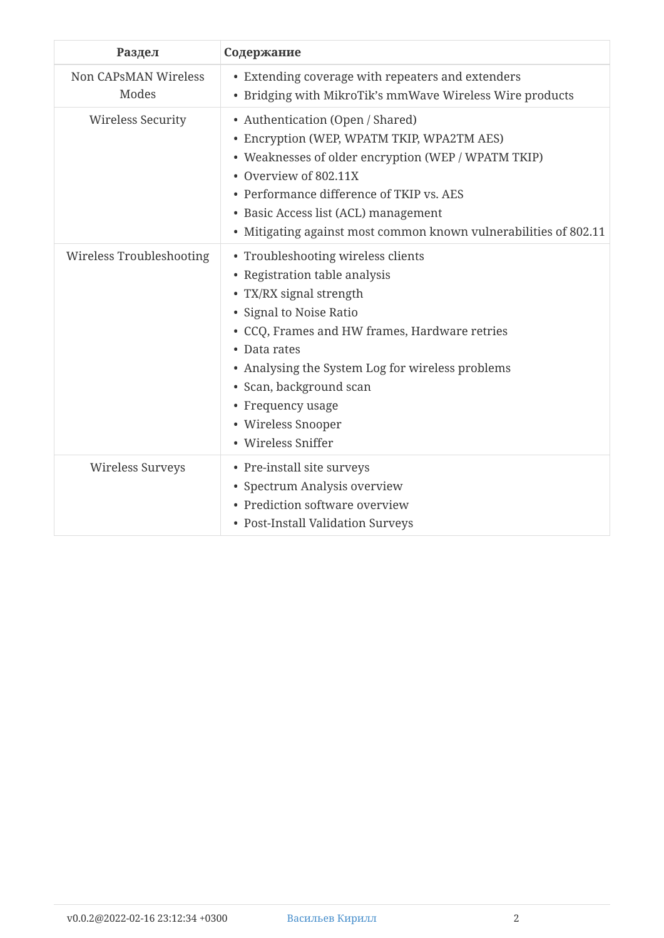| Раздел                        | Содержание                                                                                                                                                                                                                                                                                                                                 |
|-------------------------------|--------------------------------------------------------------------------------------------------------------------------------------------------------------------------------------------------------------------------------------------------------------------------------------------------------------------------------------------|
| Non CAPSMAN Wireless<br>Modes | • Extending coverage with repeaters and extenders<br>• Bridging with MikroTik's mmWave Wireless Wire products                                                                                                                                                                                                                              |
| Wireless Security             | • Authentication (Open / Shared)<br>• Encryption (WEP, WPATM TKIP, WPA2TM AES)<br>• Weaknesses of older encryption (WEP / WPATM TKIP)<br>• Overview of 802.11X<br>• Performance difference of TKIP vs. AES<br>• Basic Access list (ACL) management<br>• Mitigating against most common known vulnerabilities of 802.11                     |
| Wireless Troubleshooting      | • Troubleshooting wireless clients<br>• Registration table analysis<br>• TX/RX signal strength<br>• Signal to Noise Ratio<br>• CCQ, Frames and HW frames, Hardware retries<br>• Data rates<br>• Analysing the System Log for wireless problems<br>· Scan, background scan<br>• Frequency usage<br>• Wireless Snooper<br>• Wireless Sniffer |
| Wireless Surveys              | • Pre-install site surveys<br>• Spectrum Analysis overview<br>• Prediction software overview<br>• Post-Install Validation Surveys                                                                                                                                                                                                          |